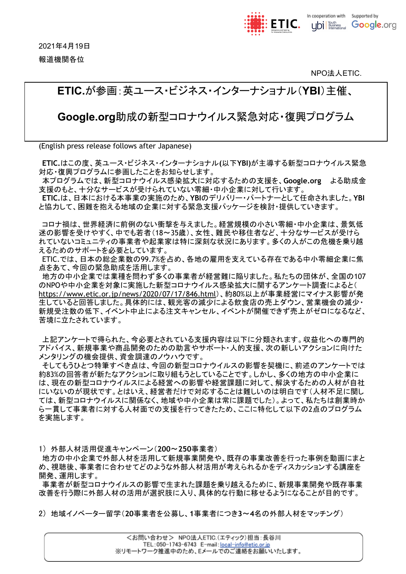2021年4月19日 報道機関各位



NPO法人ETIC.

# **ETIC.**が参画:英ユース・ビジネス・インターナショナル(**YBI**)主催、

**Google.org**助成の新型コロナウイルス緊急対応・復興プログラム

(English press release follows after Japanese)

**ETIC.**はこの度、英ユース・ビジネス・インターナショナル**(**以下**YBI)**が主導する新型コロナウイルス緊急 対応・復興プログラムに参画したことをお知らせします。

本プログラムでは、新型コロナウイルス感染拡大に対応するための支援を、**Google.org** よる助成金 支援のもと、十分なサービスが受けられていない零細・中小企業に対して行います。

**ETIC.**は、日本における本事業の実施のため、**YBI**のデリバリー・パートナーとして任命されました。**YBI** と協力して、困難を抱える地域の企業に対する緊急支援パッケージを検討・提供していきます。

コロナ禍は、世界経済に前例のない衝撃を与えました。経営規模の小さい零細・中小企業は、景気低 迷の影響を受けやすく、中でも若者(18~35歳)、女性、難民や移住者など、十分なサービスが受けら れていないコミュニティの事業者や起業家は特に深刻な状況にあります。多くの人がこの危機を乗り越 えるためのサポートを必要としています。

ETIC.では、日本の総企業数の99.7%を占め、各地の雇用を支えている存在である中小零細企業に焦 点をあて、今回の緊急助成を活用します。

地方の中小企業では業種を問わず多くの事業者が経営難に陥りました。私たちの団体が、全国の107 のNPOや中小企業を対象に実施した新型コロナウイルス感染拡大に関するアンケート調査によると( <https://www.etic.or.jp/news/2020/07/17/846.html>)、約80%以上が事業経営にマイナス影響が発 生していると回答しました。具体的には、観光客の減少による飲食店の売上ダウン、営業機会の減少・ 新規受注数の低下、イベント中止による注文キャンセル、イベントが開催できず売上がゼロになるなど、 苦境に立たされています。

上記アンケートで得られた、今必要とされている支援内容は以下に分類されます。収益化への専門的 アドバイス、新規事業や商品開発のための助言やサポート・人的支援、次の新しいアクションに向けた メンタリングの機会提供、資金調達のノウハウです。

そしてもうひとつ特筆すべき点は、今回の新型コロナウイルスの影響を契機に、前述のアンケートでは 約83%の回答者が新たなアクションに取り組もうとしていることです。しかし、多くの地方の中小企業に は、現在の新型コロナウイルスによる経営への影響や経営課題に対して、解決するための人材が自社 にいないのが現状です。とはいえ、経営者だけで対応することは難しいのは明白です(人材不足に関し ては、新型コロナウイルスに関係なく、地域や中小企業は常に課題でした)。よって、私たちは創業時か ら一貫して事業者に対する人材面での支援を行ってきたため、ここに特化して以下の2点のプログラム を実施します。

1) 外部人材活用促進キャンペーン(**200**〜**250**事業者)

地方の中小企業で外部人材を活用して新規事業開発や、既存の事業改善を行った事例を動画にまと め、視聴後、事業者に合わせてどのような外部人材活用が考えられるかをディスカッションする講座を 開発、運用します。

事業者が新型コロナウイルスの影響で生まれた課題を乗り越えるために、新規事業開発や既存事業 改善を行う際に外部人材の活用が選択肢に入り、具体的な行動に移せるようになることが目的です。

2) 地域イノベーター留学(**20**事業者を公募し、**1**事業者につき**3**~**4**名の外部人材をマッチング)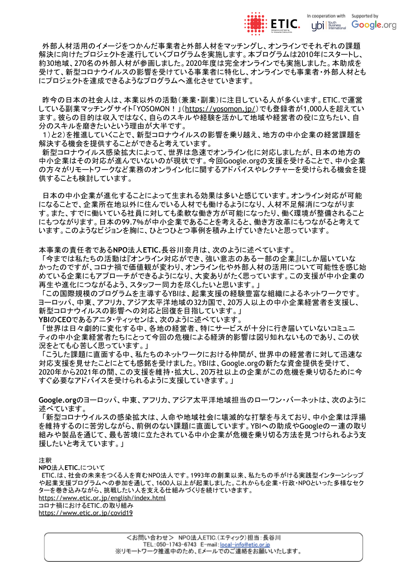

外部人材活用のイメージをつかんだ事業者と外部人材をマッチングし、オンラインでそれぞれの課題 解決に向けたプロジェクトを遂行していくプログラムを実施します。本プログラムは2010年にスタートし、 約30地域、270名の外部人材が参画しました。2020年度は完全オンラインでも実施しました。本助成を 受けて、新型コロナウイルスの影響を受けている事業者に特化し、オンラインでも事業者・外部人材とも にプロジェクトを達成できるようなプログラムへ進化させていきます。

昨今の日本の社会人は、本業以外の活動(兼業・副業)に注目している人が多くいます。ETIC.で運営 している副業マッチングサイト「YOSOMON!」(<https://yosomon.jp/>)でも登録者が1,000人を超えてい ます。彼らの目的は収入ではなく、自らのスキルや経験を活かして地域や経営者の役に立ちたい、自 分のスキルを磨きたいという理由が大半です。

1)と2)を推進していくことで、新型コロナウイルスの影響を乗り越え、地方の中小企業の経営課題を 解決する機会を提供することができると考えています。

新型コロナウイルス感染拡大によって、世界は急速でオンライン化に対応しましたが、日本の地方の 。。。<br>中小企業はその対応が進んでいないのが現状です。今回Google.orgの支援を受けることで、中小企業 の方々がリモートワークなど業務のオンライン化に関するアドバイスやレクチャーを受けられる機会を提 供することも検討しています。

日本の中小企業が進化することによって生まれる効果は多いと感じています。オンライン対応が可能 になることで、企業所在地以外に住んでいる人材でも働けるようになり、人材不足解消につながりま す。また、すでに働いている社員に対しても柔軟な働き方が可能になったり、働く環境が整備されること にもつながります。日本の99.7%が中小企業であることを考えると、働き方改革にもつながると考えて います。このようなビジョンを胸に、ひとつひとつ事例を積み上げていきたいと思っています。

本事業の責任者である**NPO**法人**ETIC.**長谷川奈月は、次のように述べています。

「今までは私たちの活動は『オンライン対応ができ、強い意志のある一部の企業』にしか届いていな かったのですが、コロナ禍で価値観が変わり、オンライン化や外部人材の活用について可能性を感じ始 めている企業にもアプローチができるようになり、大変ありがたく思っています。この支援が中小企業の 再生や進化につながるよう、スタッフ一同力を尽くしたいと思います。」

「この国際規模のプログラムを主導するYBIは、起業支援の経験豊富な組織によるネットワークです。 ヨーロッパ、中東、アフリカ、アジア太平洋地域の32カ国で、20万人以上の中小企業経営者を支援し、 新型コロナウイルスの影響への対応と回復を目指しています。」 **YBI**の**CEO**であるアニタ・ティッセンは、次のように述べています。

「世界は日々劇的に変化する中、各地の経営者、特にサービスが十分に行き届いていないコミュニ ティの中小企業経営者たちにとって今回の危機による経済的影響は図り知れないものであり、この状 況をとても心苦しく思っています。」

「こうした課題に直面する中、私たちのネットワークにおける仲間が、世界中の経営者に対して迅速な 対応支援を見せたことにとても感銘を受けました。YBIは、Google.orgの新たな資金提供を受けて、 2020年から2021年の間、この支援を維持・拡大し、20万社以上の企業がこの危機を乗り切るために今 すぐ必要なアドバイスを受けられるように支援していきます。」

**Google.org**のヨーロッパ、中東、アフリカ、アジア太平洋地域担当のローワン・バーネットは、次のように 述べています。

「新型コロナウイルスの感染拡大は、人命や地域社会に壊滅的な打撃を与えており、中小企業は浮揚 を維持するのに苦労しながら、前例のない課題に直面しています。YBIへの助成やGoogleの一連の取り 組みや製品を通じて、最も苦境に立たされている中小企業が危機を乗り切る方法を見つけられるよう支 援したいと考えています。」

#### 注釈

**NPO**法人**ETIC.**について ETIC.は、社会の未来をつくる人を育むNPO法人です。1993年の創業以来、私たちの手がける実践型インターンシップ や起業支援プログラムへの参加を通して、1600人以上が起業しました。これからも企業・行政・NPOといった多様なセク ターを巻き込みながら、挑戦したい人を支える仕組みづくりを続けていきます。 <https://www.etic.or.jp/english/index.html> コロナ禍におけるETIC.の取り組み <https://www.etic.or.jp/covid19>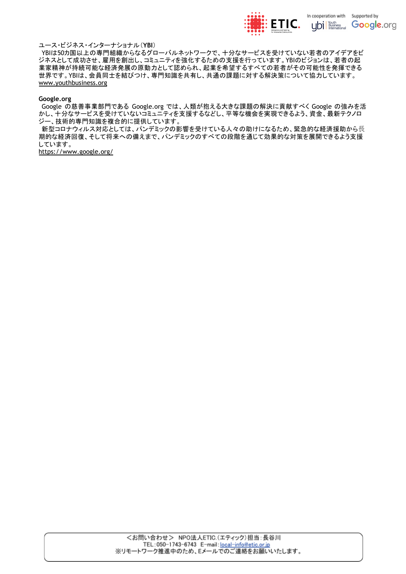

#### ユース・ビジネス・インターナショナル(**YBI**)

YBIは50カ国以上の専門組織からなるグローバルネットワークで、十分なサービスを受けていない若者のアイデアをビ ジネスとして成功させ、雇用を創出し、コミュニティを強化するための支援を行っています。YBIのビジョンは、若者の起 業家精神が持続可能な経済発展の原動力として認められ、起業を希望するすべての若者がその可能性を発揮できる 世界です。YBIは、会員同士を結びつけ、専門知識を共有し、共通の課題に対する解決策について協力しています。 [www.youthbusiness.org](http://www.youthbusiness.org)

#### **Google.org**

Google の慈善事業部門である Google.org では、人類が抱える大きな課題の解決に貢献すべく Google の強みを活 かし、十分なサービスを受けていないコミュニティを支援するなどし、平等な機会を実現できるよう、資金、最新テクノロ ジー、技術的専門知識を複合的に提供しています。

新型コロナウィルス対応としては、パンデミックの影響を受けている人々の助けになるため、緊急的な経済援助から長 期的な経済回復、そして将来への備えまで、パンデミックのすべての段階を通じて効果的な対策を展開できるよう支援 しています。

<https://www.google.org/>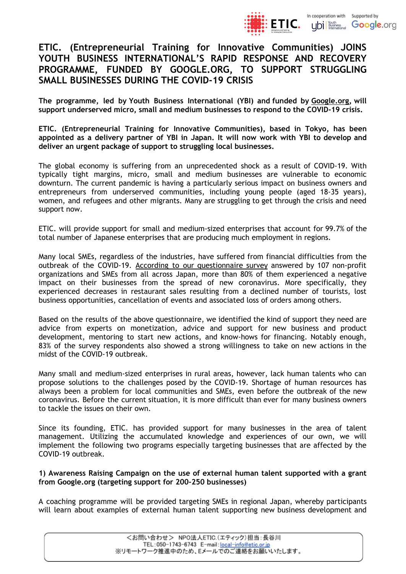

## **ETIC. (Entrepreneurial Training for Innovative Communities) JOINS YOUTH BUSINESS INTERNATIONAL'S RAPID RESPONSE AND RECOVERY PROGRAMME, FUNDED BY GOOGLE.ORG, TO SUPPORT STRUGGLING SMALL BUSINESSES DURING THE COVID-19 CRISIS**

**The programme, led by Youth Business International (YBI) and funded by [Google.org,](http://google.org/) will support underserved micro, small and medium businesses to respond to the COVID-19 crisis.**

**ETIC. (Entrepreneurial Training for Innovative Communities), based in Tokyo, has been appointed as a delivery partner of YBI in Japan. It will now work with YBI to develop and deliver an urgent package of support to struggling local businesses.**

The global economy is suffering from an unprecedented shock as a result of COVID-19. With typically tight margins, micro, small and medium businesses are vulnerable to economic downturn. The current pandemic is having a particularly serious impact on business owners and entrepreneurs from underserved communities, including young people (aged 18-35 years), women, and refugees and other migrants. Many are struggling to get through the crisis and need support now.

ETIC. will provide support for small and medium-sized enterprises that account for 99.7% of the total number of Japanese enterprises that are producing much employment in regions.

Many local SMEs, regardless of the industries, have suffered from financial difficulties from the outbreak of the COVID-19. According to our [questionnaire](https://www.etic.or.jp/news/2020/07/17/846.html) survey answered by 107 non-profit organizations and SMEs from all across Japan, more than 80% of them experienced a negative impact on their businesses from the spread of new coronavirus. More specifically, they experienced decreases in restaurant sales resulting from a declined number of tourists, lost business opportunities, cancellation of events and associated loss of orders among others.

Based on the results of the above questionnaire, we identified the kind of support they need are advice from experts on monetization, advice and support for new business and product development, mentoring to start new actions, and know-hows for financing. Notably enough, 83% of the survey respondents also showed a strong willingness to take on new actions in the midst of the COVID-19 outbreak.

Many small and medium-sized enterprises in rural areas, however, lack human talents who can propose solutions to the challenges posed by the COVID-19. Shortage of human resources has always been a problem for local communities and SMEs, even before the outbreak of the new coronavirus. Before the current situation, it is more difficult than ever for many business owners to tackle the issues on their own.

Since its founding, ETIC. has provided support for many businesses in the area of talent management. Utilizing the accumulated knowledge and experiences of our own, we will implement the following two programs especially targeting businesses that are affected by the COVID-19 outbreak.

### **1) Awareness Raising Campaign on the use of external human talent supported with a grant from Google.org (targeting support for 200-250 businesses)**

A coaching programme will be provided targeting SMEs in regional Japan, whereby participants will learn about examples of external human talent supporting new business development and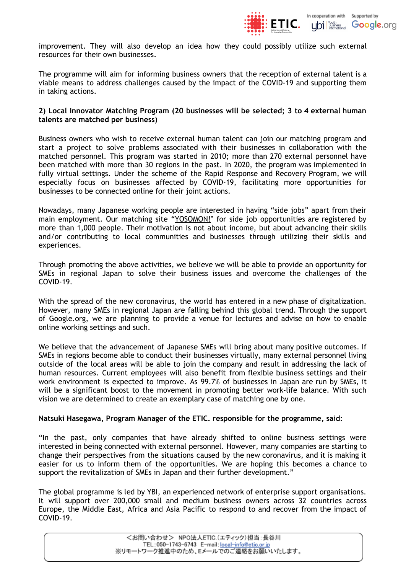

improvement. They will also develop an idea how they could possibly utilize such external resources for their own businesses.

The programme will aim for informing business owners that the reception of external talent is a viable means to address challenges caused by the impact of the COVID-19 and supporting them in taking actions.

### **2) Local Innovator Matching Program (20 businesses will be selected; 3 to 4 external human talents are matched per business)**

Business owners who wish to receive external human talent can join our matching program and start a project to solve problems associated with their businesses in collaboration with the matched personnel. This program was started in 2010; more than 270 external personnel have been matched with more than 30 regions in the past. In 2020, the program was implemented in fully virtual settings. Under the scheme of the Rapid Response and Recovery Program, we will especially focus on businesses affected by COVID-19, facilitating more opportunities for businesses to be connected online for their joint actions.

Nowadays, many Japanese working people are interested in having "side jobs" apart from their main employment. Our matching site "[YOSOMON!"](https://yosomon.jp/) for side job opportunities are registered by more than 1,000 people. Their motivation is not about income, but about advancing their skills and/or contributing to local communities and businesses through utilizing their skills and experiences.

Through promoting the above activities, we believe we will be able to provide an opportunity for SMEs in regional Japan to solve their business issues and overcome the challenges of the COVID-19.

With the spread of the new coronavirus, the world has entered in a new phase of digitalization. However, many SMEs in regional Japan are falling behind this global trend. Through the support of Google.org, we are planning to provide a venue for lectures and advise on how to enable online working settings and such.

We believe that the advancement of Japanese SMEs will bring about many positive outcomes. If SMEs in regions become able to conduct their businesses virtually, many external personnel living outside of the local areas will be able to join the company and result in addressing the lack of human resources. Current employees will also benefit from flexible business settings and their work environment is expected to improve. As 99.7% of businesses in Japan are run by SMEs, it will be a significant boost to the movement in promoting better work-life balance. With such vision we are determined to create an exemplary case of matching one by one.

### **Natsuki Hasegawa, Program Manager of the ETIC. responsible for the programme, said:**

"In the past, only companies that have already shifted to online business settings were interested in being connected with external personnel. However, many companies are starting to change their perspectives from the situations caused by the new coronavirus, and it is making it easier for us to inform them of the opportunities. We are hoping this becomes a chance to support the revitalization of SMEs in Japan and their further development."

The global programme is led by YBI, an experienced network of enterprise support organisations. It will support over 200,000 small and medium business owners across 32 countries across Europe, the Middle East, Africa and Asia Pacific to respond to and recover from the impact of COVID-19.

> <お問い合わせ> NPO法人ETIC.(エティック)担当:長谷川 TEL:050-1743-6743 E-mail: local-info@etic.or.jp ※リモートワーク推進中のため、Eメールでのご連絡をお願いいたします。